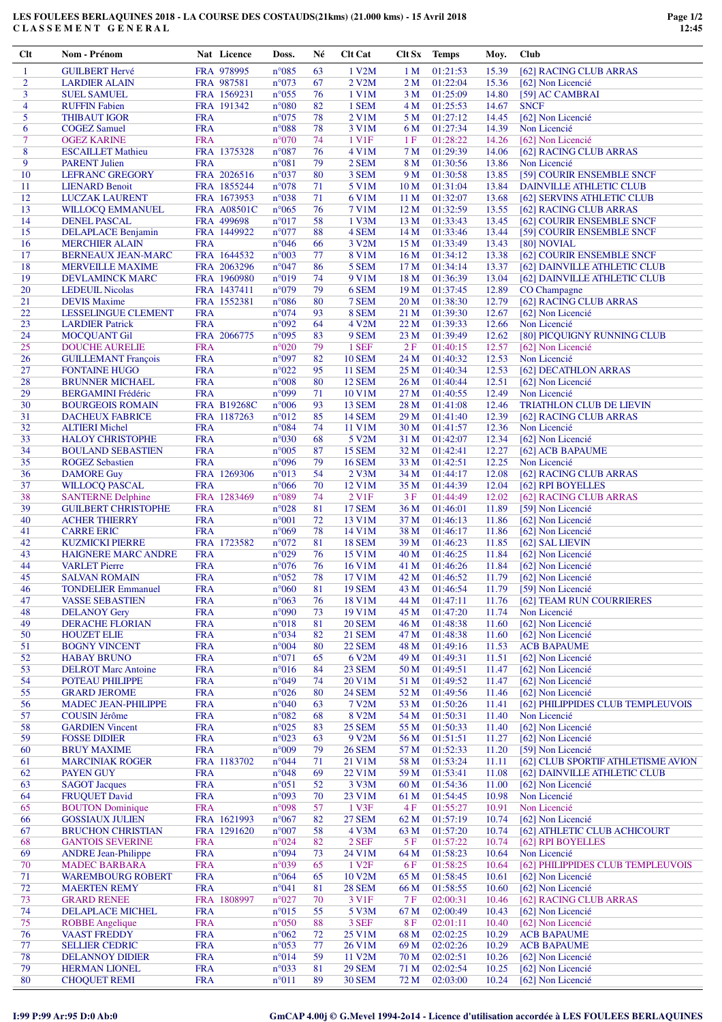## **LES FOULEES BERLAQUINES 2018 - LA COURSE DES COSTAUDS(21kms) (21.000 kms) - 15 Avril 2018 C L A S S E M E N T G E N E R A L**

| $Cl$ t         | Nom - Prénom                                       |            | Nat Licence               | Doss.                   | Né       | Clt Cat                 |                 | Clt Sx Temps         | Moy.           | Club                                     |
|----------------|----------------------------------------------------|------------|---------------------------|-------------------------|----------|-------------------------|-----------------|----------------------|----------------|------------------------------------------|
| 1              | <b>GUILBERT Hervé</b>                              |            | FRA 978995                | $n^{\circ}085$          | 63       | 1 V2M                   | 1 <sub>M</sub>  | 01:21:53             | 15.39          | [62] RACING CLUB ARRAS                   |
| $\overline{c}$ | <b>LARDIER ALAIN</b>                               |            | FRA 987581                | n°073                   | 67       | 2 V2M                   | 2M              | 01:22:04             | 15.36          | [62] Non Licencié                        |
| 3              | <b>SUEL SAMUEL</b>                                 |            | FRA 1569231               | $n^{\circ}055$          | 76       | 1 V1M                   | 3 M             | 01:25:09             | 14.80          | [59] AC CAMBRAI                          |
| $\overline{4}$ | <b>RUFFIN Fabien</b>                               |            | FRA 191342                | $n^{\circ}080$          | 82       | 1 SEM                   | 4 M             | 01:25:53             | 14.67          | <b>SNCF</b>                              |
| 5              | <b>THIBAUT IGOR</b>                                | <b>FRA</b> |                           | $n^{\circ}075$          | 78       | 2 V1M                   | 5 M             | 01:27:12             | 14.45          | [62] Non Licencié                        |
| 6              | <b>COGEZ Samuel</b>                                | <b>FRA</b> |                           | $n^{\circ}088$          | 78       | 3 V1M                   | 6 M             | 01:27:34             | 14.39          | Non Licencié                             |
| $\overline{7}$ | <b>OGEZ KARINE</b>                                 | <b>FRA</b> |                           | n°070                   | 74       | 1 V1F                   | 1F              | 01:28:22             | 14.26          | [62] Non Licencié                        |
| 8              | <b>ESCAILLET Mathieu</b>                           |            | FRA 1375328               | $n^{\circ}087$          | 76       | 4 V1M                   | 7 M             | 01:29:39             | 14.06          | [62] RACING CLUB ARRAS                   |
| 9              | <b>PARENT Julien</b>                               | <b>FRA</b> |                           | $n^{\circ}081$          | 79       | 2 SEM                   | 8 M             | 01:30:56             | 13.86          | Non Licencié                             |
| 10             | <b>LEFRANC GREGORY</b>                             |            | FRA 2026516               | n°037                   | 80       | 3 SEM                   | 9 M             | 01:30:58             | 13.85          | [59] COURIR ENSEMBLE SNCF                |
| 11             | <b>LIENARD Benoit</b>                              |            | FRA 1855244               | $n^{\circ}078$          | 71       | 5 V1M                   | 10 <sub>M</sub> | 01:31:04             | 13.84          | <b>DAINVILLE ATHLETIC CLUB</b>           |
| 12             | <b>LUCZAK LAURENT</b>                              |            | FRA 1673953               | n°038                   | 71       | 6 V1M                   | 11 M            | 01:32:07             | 13.68          | [62] SERVINS ATHLETIC CLUB               |
| 13             | WILLOCQ EMMANUEL                                   |            | <b>FRA A08501C</b>        | $n^{\circ}065$          | 76       | <b>7 V1M</b>            | 12 <sub>M</sub> | 01:32:59             | 13.55          | [62] RACING CLUB ARRAS                   |
| 14<br>15       | <b>DENEL PASCAL</b>                                |            | FRA 499698<br>FRA 1449922 | $n^{\circ}017$<br>n°077 | 58<br>88 | 1 V3M<br>4 SEM          | 13 M            | 01:33:43<br>01:33:46 | 13.45<br>13.44 | [62] COURIR ENSEMBLE SNCF                |
| 16             | <b>DELAPLACE Benjamin</b><br><b>MERCHIER ALAIN</b> | <b>FRA</b> |                           | $n^{\circ}046$          | 66       | 3 V2M                   | 14 M<br>15 M    | 01:33:49             | 13.43          | [59] COURIR ENSEMBLE SNCF<br>[80] NOVIAL |
| 17             | <b>BERNEAUX JEAN-MARC</b>                          |            | FRA 1644532               | n°003                   | 77       | 8 V1M                   | 16 <sub>M</sub> | 01:34:12             | 13.38          | [62] COURIR ENSEMBLE SNCF                |
| 18             | <b>MERVEILLE MAXIME</b>                            |            | FRA 2063296               | n°047                   | 86       | 5 SEM                   | 17 <sub>M</sub> | 01:34:14             | 13.37          | [62] DAINVILLE ATHLETIC CLUB             |
| 19             | DEVLAMINCK MARC                                    |            | FRA 1960980               | n°019                   | 74       | 9 V1M                   | 18 <sub>M</sub> | 01:36:39             | 13.04          | [62] DAINVILLE ATHLETIC CLUB             |
| 20             | <b>LEDEUIL Nicolas</b>                             |            | FRA 1437411               | n°079                   | 79       | 6 SEM                   | 19 <sub>M</sub> | 01:37:45             | 12.89          | CO Champagne                             |
| 21             | <b>DEVIS Maxime</b>                                |            | FRA 1552381               | $n^{\circ}086$          | 80       | 7 SEM                   | 20 M            | 01:38:30             | 12.79          | [62] RACING CLUB ARRAS                   |
| 22             | LESSELINGUE CLEMENT                                | <b>FRA</b> |                           | n°074                   | 93       | 8 SEM                   | 21 M            | 01:39:30             | 12.67          | [62] Non Licencié                        |
| 23             | <b>LARDIER Patrick</b>                             | <b>FRA</b> |                           | n°092                   | 64       | 4 V <sub>2</sub> M      | 22 M            | 01:39:33             | 12.66          | Non Licencié                             |
| 24             | <b>MOCQUANT Gil</b>                                |            | FRA 2066775               | n°095                   | 83       | 9 SEM                   | 23 M            | 01:39:49             | 12.62          | [80] PICQUIGNY RUNNING CLUB              |
| 25             | <b>DOUCHE AURELIE</b>                              | <b>FRA</b> |                           | $n^{\circ}020$          | 79       | 1 SEF                   | 2F              | 01:40:15             | 12.57          | [62] Non Licencié                        |
| 26             | <b>GUILLEMANT François</b>                         | <b>FRA</b> |                           | n°097                   | 82       | <b>10 SEM</b>           | 24 M            | 01:40:32             | 12.53          | Non Licencié                             |
| 27             | <b>FONTAINE HUGO</b>                               | <b>FRA</b> |                           | $n^{\circ}022$          | 95       | <b>11 SEM</b>           | 25 M            | 01:40:34             | 12.53          | [62] DECATHLON ARRAS                     |
| 28             | <b>BRUNNER MICHAEL</b>                             | <b>FRA</b> |                           | $n^{\circ}008$          | 80       | <b>12 SEM</b>           | 26 M            | 01:40:44             | 12.51          | [62] Non Licencié                        |
| 29             | <b>BERGAMINI Frédéric</b>                          | <b>FRA</b> |                           | n°099                   | 71       | 10 V1M                  | 27 M            | 01:40:55             | 12.49          | Non Licencié                             |
| 30             | <b>BOURGEOIS ROMAIN</b>                            |            | <b>FRA B19268C</b>        | $n^{\circ}006$          | 93       | <b>13 SEM</b>           | 28 M            | 01:41:08             | 12.46          | <b>TRIATHLON CLUB DE LIEVIN</b>          |
| 31             | <b>DACHEUX FABRICE</b>                             |            | FRA 1187263               | $n^{\circ}012$          | 85       | <b>14 SEM</b>           | 29 M            | 01:41:40             | 12.39          | [62] RACING CLUB ARRAS                   |
| 32             | <b>ALTIERI</b> Michel                              | <b>FRA</b> |                           | $n^{\circ}084$          | 74       | 11 V1M                  | 30 M            | 01:41:57             | 12.36          | Non Licencié                             |
| 33             | <b>HALOY CHRISTOPHE</b>                            | <b>FRA</b> |                           | $n^{\circ}030$          | 68       | 5 V2M                   | 31 M            | 01:42:07             | 12.34          | [62] Non Licencié                        |
| 34             | <b>BOULAND SEBASTIEN</b>                           | <b>FRA</b> |                           | $n^{\circ}005$          | 87       | <b>15 SEM</b>           | 32 M            | 01:42:41             | 12.27          | [62] ACB BAPAUME                         |
| 35             | <b>ROGEZ Sebastien</b>                             | <b>FRA</b> |                           | n°096                   | 79       | <b>16 SEM</b>           | 33 M            | 01:42:51             | 12.25          | Non Licencié                             |
| 36             | <b>DAMORE Guy</b>                                  |            | FRA 1269306               | n°013                   | 54       | $2$ V $3M$              | 34 M            | 01:44:17             | 12.08          | [62] RACING CLUB ARRAS                   |
| 37             | <b>WILLOCQ PASCAL</b>                              | <b>FRA</b> |                           | $n^{\circ}066$          | 70       | 12 V1M                  | 35 M            | 01:44:39             | 12.04          | [62] RPI BOYELLES                        |
| 38<br>39       | <b>SANTERNE Delphine</b>                           | <b>FRA</b> | FRA 1283469               | n°089<br>$n^{\circ}028$ | 74<br>81 | 2 V1F<br><b>17 SEM</b>  | 3F              | 01:44:49             | 12.02<br>11.89 | [62] RACING CLUB ARRAS                   |
| 40             | <b>GUILBERT CHRISTOPHE</b><br><b>ACHER THIERRY</b> | <b>FRA</b> |                           | $n^{\circ}001$          | 72       | 13 V1M                  | 36 M<br>37 M    | 01:46:01<br>01:46:13 | 11.86          | [59] Non Licencié<br>[62] Non Licencié   |
| 41             | <b>CARRE ERIC</b>                                  | <b>FRA</b> |                           | n°069                   | 78       | 14 V1M                  | 38 M            | 01:46:17             | 11.86          | [62] Non Licencié                        |
| 42             | <b>KUZMICKI PIERRE</b>                             |            | FRA 1723582               | $n^{\circ}072$          | 81       | <b>18 SEM</b>           | 39 M            | 01:46:23             | 11.85          | [62] SAL LIEVIN                          |
| 43             | <b>HAIGNERE MARC ANDRE</b>                         | <b>FRA</b> |                           | $n^{\circ}029$          | 76       | 15 V1M                  | 40 M            | 01:46:25             | 11.84          | [62] Non Licencié                        |
| 44             | <b>VARLET Pierre</b>                               | <b>FRA</b> |                           | $n^{\circ}076$          | 76       | 16 V1M                  | 41 M            | 01:46:26             | 11.84          | [62] Non Licencié                        |
| 45             | <b>SALVAN ROMAIN</b>                               | <b>FRA</b> |                           | $n^{\circ}052$          | 78       | 17 V1M                  | 42 M            | 01:46:52             | 11.79          | [62] Non Licencié                        |
| 46             | <b>TONDELIER Emmanuel</b>                          | <b>FRA</b> |                           | $n^{\circ}060$          | 81       | <b>19 SEM</b>           | 43 M            | 01:46:54             | 11.79          | [59] Non Licencié                        |
| 47             | <b>VASSE SEBASTIEN</b>                             | <b>FRA</b> |                           | $n^{\circ}063$          | 76       | 18 V1M                  | 44 M            | 01:47:11             | 11.76          | [62] TEAM RUN COURRIERES                 |
| 48             | <b>DELANOY Gery</b>                                | <b>FRA</b> |                           | $n^{\circ}090$          | 73       | 19 V1M                  | 45 M            | 01:47:20             | 11.74          | Non Licencié                             |
| 49             | <b>DERACHE FLORIAN</b>                             | <b>FRA</b> |                           | n°018                   | 81       | <b>20 SEM</b>           | 46 M            | 01:48:38             | 11.60          | [62] Non Licencié                        |
| 50             | <b>HOUZET ELIE</b>                                 | <b>FRA</b> |                           | n°034                   | 82       | <b>21 SEM</b>           | 47 M            | 01:48:38             | 11.60          | [62] Non Licencié                        |
| 51             | <b>BOGNY VINCENT</b>                               | <b>FRA</b> |                           | $n^{\circ}004$          | 80       | <b>22 SEM</b>           | 48 M            | 01:49:16             | 11.53          | <b>ACB BAPAUME</b>                       |
| 52             | <b>HABAY BRUNO</b>                                 | <b>FRA</b> |                           | n°071                   | 65       | 6 V2M                   | 49 M            | 01:49:31             | 11.51          | [62] Non Licencié                        |
| 53             | <b>DELROT</b> Marc Antoine                         | <b>FRA</b> |                           | $n^{\circ}016$          | 84       | 23 SEM                  | 50 M            | 01:49:51             | 11.47          | [62] Non Licencié                        |
| 54             | POTEAU PHILIPPE                                    | <b>FRA</b> |                           | n°049                   | 74       | 20 V1M                  | 51 M            | 01:49:52             | 11.47          | [62] Non Licencié                        |
| 55             | <b>GRARD JEROME</b>                                | <b>FRA</b> |                           | $n^{\circ}026$          | 80       | <b>24 SEM</b>           | 52 M            | 01:49:56             | 11.46          | [62] Non Licencié                        |
| 56             | <b>MADEC JEAN-PHILIPPE</b>                         | <b>FRA</b> |                           | $n^{\circ}040$          | 63       | 7 V2M                   | 53 M            | 01:50:26             | 11.41          | [62] PHILIPPIDES CLUB TEMPLEUVOIS        |
| 57             | <b>COUSIN Jérôme</b>                               | <b>FRA</b> |                           | $n^{\circ}082$          | 68       | 8 V2M                   | 54 M            | 01:50:31             | 11.40          | Non Licencié                             |
| 58             | <b>GARDIEN Vincent</b>                             | <b>FRA</b> |                           | $n^{\circ}025$<br>n°023 | 83       | <b>25 SEM</b>           | 55 M            | 01:50:33<br>01:51:51 | 11.40          | [62] Non Licencié                        |
| 59             | <b>FOSSE DIDIER</b>                                | <b>FRA</b> |                           | n°009                   | 63       | 9 V2M                   | 56 M            | 01:52:33             | 11.27          | [62] Non Licencié<br>[59] Non Licencié   |
| 60<br>61       | <b>BRUY MAXIME</b><br><b>MARCINIAK ROGER</b>       | <b>FRA</b> | FRA 1183702               | n°044                   | 79<br>71 | <b>26 SEM</b><br>21 V1M | 57 M<br>58 M    | 01:53:24             | 11.20<br>11.11 | [62] CLUB SPORTIF ATHLETISME AVION       |
| 62             | <b>PAYEN GUY</b>                                   | <b>FRA</b> |                           | n°048                   | 69       | 22 V1M                  | 59 M            | 01:53:41             | 11.08          | [62] DAINVILLE ATHLETIC CLUB             |
| 63             | <b>SAGOT Jacques</b>                               | <b>FRA</b> |                           | $n^{\circ}051$          | 52       | 3 V3M                   | 60 M            | 01:54:36             | 11.00          | [62] Non Licencié                        |
| 64             | <b>FRUQUET David</b>                               | <b>FRA</b> |                           | n°093                   | 70       | 23 V1M                  | 61 M            | 01:54:45             | 10.98          | Non Licencié                             |
| 65             | <b>BOUTON</b> Dominique                            | <b>FRA</b> |                           | n°098                   | 57       | 1 V3F                   | 4F              | 01:55:27             | 10.91          | Non Licencié                             |
| 66             | <b>GOSSIAUX JULIEN</b>                             |            | FRA 1621993               | $n^{\circ}067$          | 82       | <b>27 SEM</b>           | 62 M            | 01:57:19             | 10.74          | [62] Non Licencié                        |
| 67             | <b>BRUCHON CHRISTIAN</b>                           |            | FRA 1291620               | $n^{\circ}007$          | 58       | 4 V3M                   | 63 M            | 01:57:20             | 10.74          | [62] ATHLETIC CLUB ACHICOURT             |
| 68             | <b>GANTOIS SEVERINE</b>                            | <b>FRA</b> |                           | $n^{\circ}024$          | 82       | 2 SEF                   | 5 F             | 01:57:22             | 10.74          | [62] RPI BOYELLES                        |
| 69             | <b>ANDRE</b> Jean-Philippe                         | <b>FRA</b> |                           | n°094                   | 73       | 24 V1M                  | 64 M            | 01:58:23             | 10.64          | Non Licencié                             |
| 70             | <b>MADEC BARBARA</b>                               | <b>FRA</b> |                           | n°039                   | 65       | 1 V <sub>2F</sub>       | <b>6F</b>       | 01:58:25             | 10.64          | [62] PHILIPPIDES CLUB TEMPLEUVOIS        |
| 71             | <b>WAREMBOURG ROBERT</b>                           | <b>FRA</b> |                           | $n^{\circ}064$          | 65       | 10 V2M                  | 65 M            | 01:58:45             | 10.61          | [62] Non Licencié                        |
| 72             | <b>MAERTEN REMY</b>                                | <b>FRA</b> |                           | n°041                   | 81       | <b>28 SEM</b>           | 66 M            | 01:58:55             | 10.60          | [62] Non Licencié                        |
| 73             | <b>GRARD RENEE</b>                                 |            | FRA 1808997               | $n^{\circ}027$          | 70       | 3 V1F                   | 7F              | 02:00:31             | 10.46          | [62] RACING CLUB ARRAS                   |
| 74             | DELAPLACE MICHEL                                   | <b>FRA</b> |                           | $n^{\circ}015$          | 55       | 5 V3M                   | 67 M            | 02:00:49             | 10.43          | [62] Non Licencié                        |
| 75             | <b>ROBBE</b> Angelique                             | <b>FRA</b> |                           | $n^{\circ}050$          | 88       | 3 SEF                   | <b>8F</b>       | 02:01:11             | 10.40          | [62] Non Licencié                        |
| 76             | <b>VAAST FREDDY</b>                                | <b>FRA</b> |                           | $n^{\circ}062$          | 72       | 25 V1M                  | 68 M            | 02:02:25             | 10.29          | <b>ACB BAPAUME</b>                       |
| 77             | <b>SELLIER CEDRIC</b>                              | <b>FRA</b> |                           | $n^{\circ}053$          | 77       | 26 V1M                  | 69 M            | 02:02:26             | 10.29          | <b>ACB BAPAUME</b>                       |
| 78             | <b>DELANNOY DIDIER</b>                             | <b>FRA</b> |                           | n°014                   | 59       | 11 V2M                  | 70 M            | 02:02:51             | 10.26          | [62] Non Licencié                        |
| 79             | <b>HERMAN LIONEL</b>                               | <b>FRA</b> |                           | n°033                   | 81       | <b>29 SEM</b>           | 71 M            | 02:02:54             | 10.25          | [62] Non Licencié                        |
| 80             | <b>CHOQUET REMI</b>                                | <b>FRA</b> |                           | $n^{\circ}011$          | 89       | <b>30 SEM</b>           | 72 M            | 02:03:00             | 10.24          | [62] Non Licencié                        |